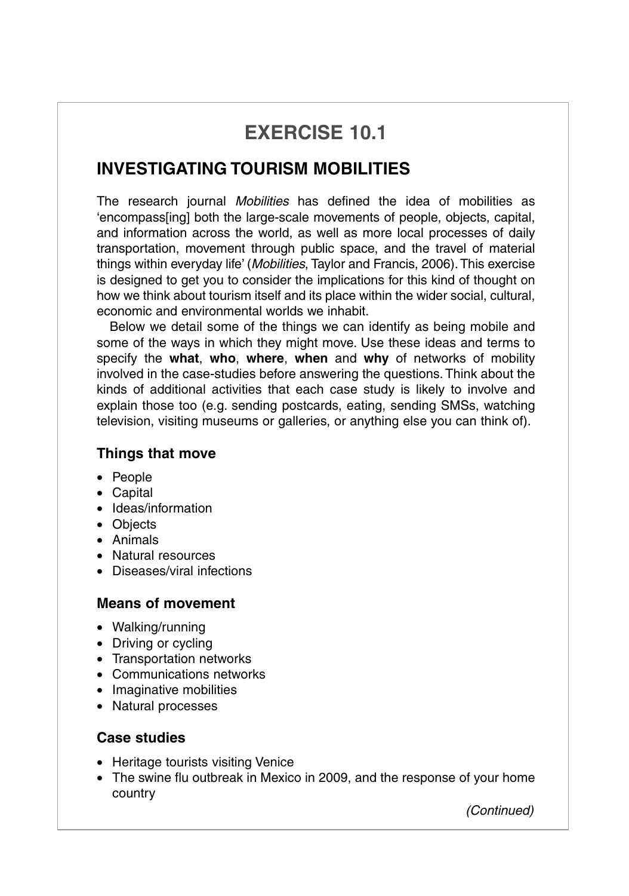# **EXERCISE 10.1**

## **INVESTIGATING TOURISM MOBILITIES**

The research journal *Mobilities* has defined the idea of mobilities as 'encompass[ing] both the large-scale movements of people, objects, capital, and information across the world, as well as more local processes of daily transportation, movement through public space, and the travel of material things within everyday life' (*Mobilities*, Taylor and Francis, 2006).This exercise is designed to get you to consider the implications for this kind of thought on how we think about tourism itself and its place within the wider social, cultural, economic and environmental worlds we inhabit.

Below we detail some of the things we can identify as being mobile and some of the ways in which they might move. Use these ideas and terms to specify the **what**, **who**, **where**, **when** and **why** of networks of mobility involved in the case-studies before answering the questions. Think about the kinds of additional activities that each case study is likely to involve and explain those too (e.g. sending postcards, eating, sending SMSs, watching television, visiting museums or galleries, or anything else you can think of).

#### **Things that move**

- People
- Capital
- Ideas/information
- Objects
- Animals
- Natural resources
- Diseases/viral infections

### **Means of movement**

- Walking/running
- Driving or cycling
- Transportation networks
- Communications networks
- Imaginative mobilities
- Natural processes

### **Case studies**

- Heritage tourists visiting Venice
- The swine flu outbreak in Mexico in 2009, and the response of your home country

*(Continued)*